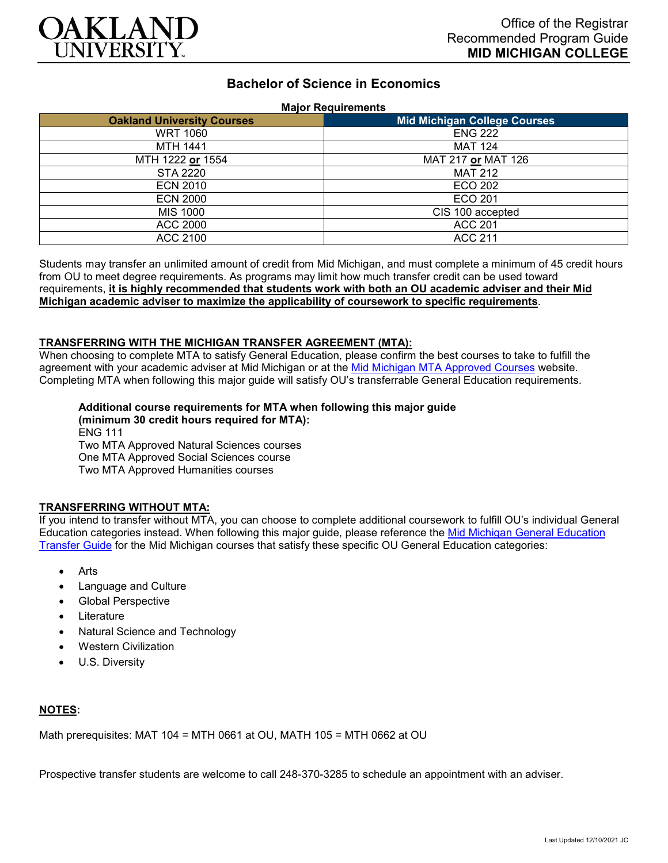

# **Bachelor of Science in Economics**

#### **Major Requirements**

| <b>Oakland University Courses</b> | <b>Mid Michigan College Courses</b> |
|-----------------------------------|-------------------------------------|
| <b>WRT 1060</b>                   | <b>ENG 222</b>                      |
| <b>MTH 1441</b>                   | <b>MAT 124</b>                      |
| MTH 1222 or 1554                  | MAT 217 or MAT 126                  |
| <b>STA 2220</b>                   | <b>MAT 212</b>                      |
| <b>ECN 2010</b>                   | ECO 202                             |
| <b>ECN 2000</b>                   | ECO 201                             |
| <b>MIS 1000</b>                   | CIS 100 accepted                    |
| <b>ACC 2000</b>                   | <b>ACC 201</b>                      |
| ACC 2100                          | <b>ACC 211</b>                      |

Students may transfer an unlimited amount of credit from Mid Michigan, and must complete a minimum of 45 credit hours from OU to meet degree requirements. As programs may limit how much transfer credit can be used toward requirements, **it is highly recommended that students work with both an OU academic adviser and their Mid Michigan academic adviser to maximize the applicability of coursework to specific requirements**.

### **TRANSFERRING WITH THE MICHIGAN TRANSFER AGREEMENT (MTA):**

When choosing to complete MTA to satisfy General Education, please confirm the best courses to take to fulfill the agreement with your academic adviser at Mid Michigan or at the [Mid Michigan MTA Approved Courses](https://www.midmich.edu/academics/transfer/mta) website. Completing MTA when following this major guide will satisfy OU's transferrable General Education requirements.

#### **Additional course requirements for MTA when following this major guide (minimum 30 credit hours required for MTA):** ENG 111

Two MTA Approved Natural Sciences courses One MTA Approved Social Sciences course Two MTA Approved Humanities courses

## **TRANSFERRING WITHOUT MTA:**

If you intend to transfer without MTA, you can choose to complete additional coursework to fulfill OU's individual General Education categories instead. When following this major guide, please reference the [Mid Michigan General Education](https://www.oakland.edu/Assets/Oakland/program-guides/mid-michigan-community-college/university-general-education-requirements/Mid%20Michigan%20Gen%20Ed.pdf)  [Transfer Guide](https://www.oakland.edu/Assets/Oakland/program-guides/mid-michigan-community-college/university-general-education-requirements/Mid%20Michigan%20Gen%20Ed.pdf) for the Mid Michigan courses that satisfy these specific OU General Education categories:

- **Arts**
- Language and Culture
- Global Perspective
- **Literature**
- Natural Science and Technology
- Western Civilization
- U.S. Diversity

## **NOTES:**

Math prerequisites: MAT 104 = MTH 0661 at OU, MATH 105 = MTH 0662 at OU

Prospective transfer students are welcome to call 248-370-3285 to schedule an appointment with an adviser.